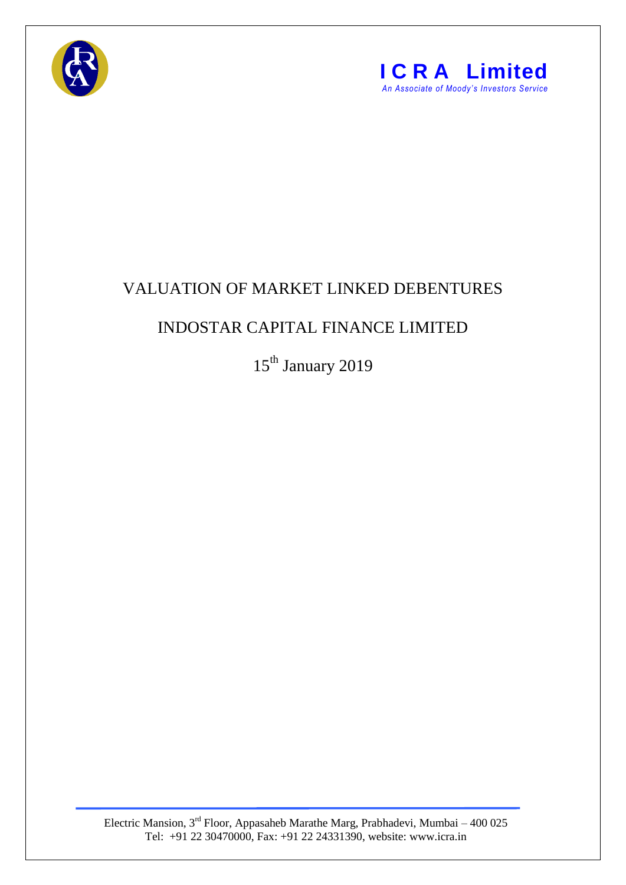



## VALUATION OF MARKET LINKED DEBENTURES

## INDOSTAR CAPITAL FINANCE LIMITED

15<sup>th</sup> January 2019